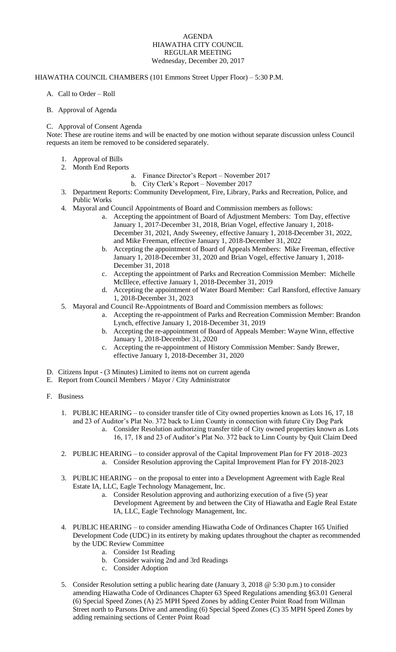### AGENDA HIAWATHA CITY COUNCIL REGULAR MEETING Wednesday, December 20, 2017

## HIAWATHA COUNCIL CHAMBERS (101 Emmons Street Upper Floor) – 5:30 P.M.

A. Call to Order – Roll

## B. Approval of Agenda

## C. Approval of Consent Agenda

Note: These are routine items and will be enacted by one motion without separate discussion unless Council requests an item be removed to be considered separately.

- 1. Approval of Bills
- 2. Month End Reports
	- a. Finance Director's Report November 2017
		- b. City Clerk's Report November 2017
- 3. Department Reports: Community Development, Fire, Library, Parks and Recreation, Police, and Public Works
- 4. Mayoral and Council Appointments of Board and Commission members as follows:
	- a. Accepting the appointment of Board of Adjustment Members: Tom Day, effective January 1, 2017-December 31, 2018, Brian Vogel, effective January 1, 2018- December 31, 2021, Andy Sweeney, effective January 1, 2018-December 31, 2022, and Mike Freeman, effective January 1, 2018-December 31, 2022
	- b. Accepting the appointment of Board of Appeals Members: Mike Freeman, effective January 1, 2018-December 31, 2020 and Brian Vogel, effective January 1, 2018- December 31, 2018
	- c. Accepting the appointment of Parks and Recreation Commission Member: Michelle McIllece, effective January 1, 2018-December 31, 2019
	- d. Accepting the appointment of Water Board Member: Carl Ransford, effective January 1, 2018-December 31, 2023
- 5. Mayoral and Council Re-Appointments of Board and Commission members as follows:
	- a. Accepting the re-appointment of Parks and Recreation Commission Member: Brandon Lynch, effective January 1, 2018-December 31, 2019
	- b. Accepting the re-appointment of Board of Appeals Member: Wayne Winn, effective January 1, 2018-December 31, 2020
	- c. Accepting the re-appointment of History Commission Member: Sandy Brewer, effective January 1, 2018-December 31, 2020
- D. Citizens Input (3 Minutes) Limited to items not on current agenda
- E. Report from Council Members / Mayor / City Administrator

# F. Business

- 1. PUBLIC HEARING to consider transfer title of City owned properties known as Lots 16, 17, 18 and 23 of Auditor's Plat No. 372 back to Linn County in connection with future City Dog Park
	- a. Consider Resolution authorizing transfer title of City owned properties known as Lots 16, 17, 18 and 23 of Auditor's Plat No. 372 back to Linn County by Quit Claim Deed
- 2. PUBLIC HEARING to consider approval of the Capital Improvement Plan for FY 2018–2023 a. Consider Resolution approving the Capital Improvement Plan for FY 2018-2023
- 3. PUBLIC HEARING on the proposal to enter into a Development Agreement with Eagle Real Estate IA, LLC, Eagle Technology Management, Inc.
	- a. Consider Resolution approving and authorizing execution of a five (5) year Development Agreement by and between the City of Hiawatha and Eagle Real Estate IA, LLC, Eagle Technology Management, Inc.
- 4. PUBLIC HEARING to consider amending Hiawatha Code of Ordinances Chapter 165 Unified Development Code (UDC) in its entirety by making updates throughout the chapter as recommended by the UDC Review Committee
	- a. Consider 1st Reading
	- b. Consider waiving 2nd and 3rd Readings
	- c. Consider Adoption
- 5. Consider Resolution setting a public hearing date (January 3, 2018 @ 5:30 p.m.) to consider amending Hiawatha Code of Ordinances Chapter 63 Speed Regulations amending §63.01 General (6) Special Speed Zones (A) 25 MPH Speed Zones by adding Center Point Road from Willman Street north to Parsons Drive and amending (6) Special Speed Zones (C) 35 MPH Speed Zones by adding remaining sections of Center Point Road